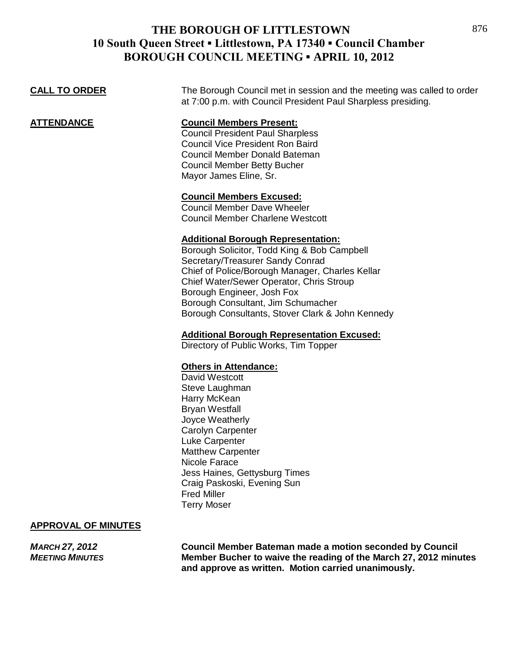| <b>CALL TO ORDER</b> | The Borough Council met in session and the meeting was called to order<br>at 7:00 p.m. with Council President Paul Sharpless presiding. |
|----------------------|-----------------------------------------------------------------------------------------------------------------------------------------|
| ATTENDANCE           | <b>Council Members Present:</b>                                                                                                         |
|                      | <b>Council President Paul Sharpless</b>                                                                                                 |
|                      | <b>Council Vice President Ron Baird</b>                                                                                                 |
|                      | Council Member Donald Bateman                                                                                                           |
|                      | <b>Council Member Betty Bucher</b>                                                                                                      |

### **Council Members Excused:**

Mayor James Eline, Sr.

Council Member Dave Wheeler Council Member Charlene Westcott

### **Additional Borough Representation:**

Borough Solicitor, Todd King & Bob Campbell Secretary/Treasurer Sandy Conrad Chief of Police/Borough Manager, Charles Kellar Chief Water/Sewer Operator, Chris Stroup Borough Engineer, Josh Fox Borough Consultant, Jim Schumacher Borough Consultants, Stover Clark & John Kennedy

#### **Additional Borough Representation Excused:**

Directory of Public Works, Tim Topper

### **Others in Attendance:**

David Westcott Steve Laughman Harry McKean Bryan Westfall Joyce Weatherly Carolyn Carpenter Luke Carpenter Matthew Carpenter Nicole Farace Jess Haines, Gettysburg Times Craig Paskoski, Evening Sun Fred Miller Terry Moser

#### **APPROVAL OF MINUTES**

*MARCH 27, 2012* **Council Member Bateman made a motion seconded by Council** *MEETING MINUTES* **Member Bucher to waive the reading of the March 27, 2012 minutes and approve as written. Motion carried unanimously.**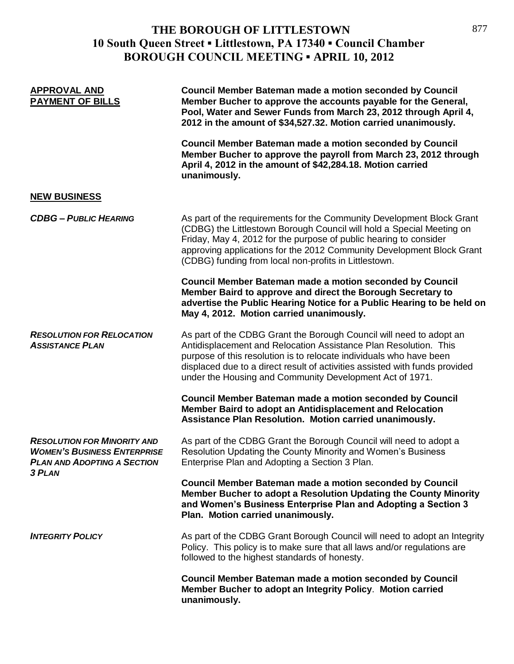| <b>APPROVAL AND</b><br><b>PAYMENT OF BILLS</b>                                                                                  | Council Member Bateman made a motion seconded by Council<br>Member Bucher to approve the accounts payable for the General,<br>Pool, Water and Sewer Funds from March 23, 2012 through April 4,<br>2012 in the amount of \$34,527.32. Motion carried unanimously.                                                                                          |
|---------------------------------------------------------------------------------------------------------------------------------|-----------------------------------------------------------------------------------------------------------------------------------------------------------------------------------------------------------------------------------------------------------------------------------------------------------------------------------------------------------|
|                                                                                                                                 | <b>Council Member Bateman made a motion seconded by Council</b><br>Member Bucher to approve the payroll from March 23, 2012 through<br>April 4, 2012 in the amount of \$42,284.18. Motion carried<br>unanimously.                                                                                                                                         |
| <b>NEW BUSINESS</b>                                                                                                             |                                                                                                                                                                                                                                                                                                                                                           |
| <b>CDBG - PUBLIC HEARING</b>                                                                                                    | As part of the requirements for the Community Development Block Grant<br>(CDBG) the Littlestown Borough Council will hold a Special Meeting on<br>Friday, May 4, 2012 for the purpose of public hearing to consider<br>approving applications for the 2012 Community Development Block Grant<br>(CDBG) funding from local non-profits in Littlestown.     |
|                                                                                                                                 | <b>Council Member Bateman made a motion seconded by Council</b><br>Member Baird to approve and direct the Borough Secretary to<br>advertise the Public Hearing Notice for a Public Hearing to be held on<br>May 4, 2012. Motion carried unanimously.                                                                                                      |
| <b>RESOLUTION FOR RELOCATION</b><br><b>ASSISTANCE PLAN</b>                                                                      | As part of the CDBG Grant the Borough Council will need to adopt an<br>Antidisplacement and Relocation Assistance Plan Resolution. This<br>purpose of this resolution is to relocate individuals who have been<br>displaced due to a direct result of activities assisted with funds provided<br>under the Housing and Community Development Act of 1971. |
|                                                                                                                                 | <b>Council Member Bateman made a motion seconded by Council</b><br>Member Baird to adopt an Antidisplacement and Relocation<br>Assistance Plan Resolution. Motion carried unanimously.                                                                                                                                                                    |
| <b>RESOLUTION FOR MINORITY AND</b><br><b>WOMEN'S BUSINESS ENTERPRISE</b><br><b>PLAN AND ADOPTING A SECTION</b><br><b>3 PLAN</b> | As part of the CDBG Grant the Borough Council will need to adopt a<br>Resolution Updating the County Minority and Women's Business<br>Enterprise Plan and Adopting a Section 3 Plan.                                                                                                                                                                      |
|                                                                                                                                 | <b>Council Member Bateman made a motion seconded by Council</b><br>Member Bucher to adopt a Resolution Updating the County Minority<br>and Women's Business Enterprise Plan and Adopting a Section 3<br>Plan. Motion carried unanimously.                                                                                                                 |
| <b>INTEGRITY POLICY</b>                                                                                                         | As part of the CDBG Grant Borough Council will need to adopt an Integrity<br>Policy. This policy is to make sure that all laws and/or regulations are<br>followed to the highest standards of honesty.                                                                                                                                                    |
|                                                                                                                                 | <b>Council Member Bateman made a motion seconded by Council</b><br>Member Bucher to adopt an Integrity Policy. Motion carried<br>unanimously.                                                                                                                                                                                                             |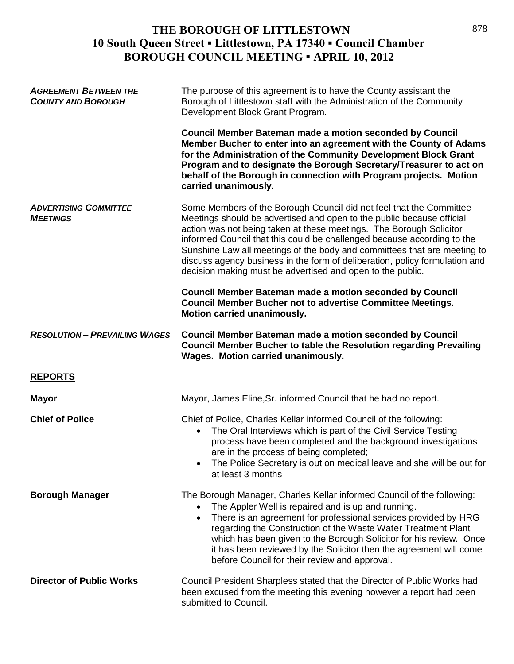| <b>AGREEMENT BETWEEN THE</b><br><b>COUNTY AND BOROUGH</b> | The purpose of this agreement is to have the County assistant the<br>Borough of Littlestown staff with the Administration of the Community<br>Development Block Grant Program.                                                                                                                                                                                                                                                                                                                                          |
|-----------------------------------------------------------|-------------------------------------------------------------------------------------------------------------------------------------------------------------------------------------------------------------------------------------------------------------------------------------------------------------------------------------------------------------------------------------------------------------------------------------------------------------------------------------------------------------------------|
|                                                           | <b>Council Member Bateman made a motion seconded by Council</b><br>Member Bucher to enter into an agreement with the County of Adams<br>for the Administration of the Community Development Block Grant<br>Program and to designate the Borough Secretary/Treasurer to act on<br>behalf of the Borough in connection with Program projects. Motion<br>carried unanimously.                                                                                                                                              |
| <b>ADVERTISING COMMITTEE</b><br><b>MEETINGS</b>           | Some Members of the Borough Council did not feel that the Committee<br>Meetings should be advertised and open to the public because official<br>action was not being taken at these meetings. The Borough Solicitor<br>informed Council that this could be challenged because according to the<br>Sunshine Law all meetings of the body and committees that are meeting to<br>discuss agency business in the form of deliberation, policy formulation and<br>decision making must be advertised and open to the public. |
|                                                           | <b>Council Member Bateman made a motion seconded by Council</b><br>Council Member Bucher not to advertise Committee Meetings.<br>Motion carried unanimously.                                                                                                                                                                                                                                                                                                                                                            |
| <b>RESOLUTION - PREVAILING WAGES</b>                      | <b>Council Member Bateman made a motion seconded by Council</b><br><b>Council Member Bucher to table the Resolution regarding Prevailing</b><br><b>Wages. Motion carried unanimously.</b>                                                                                                                                                                                                                                                                                                                               |
| <b>REPORTS</b>                                            |                                                                                                                                                                                                                                                                                                                                                                                                                                                                                                                         |
| <b>Mayor</b>                                              | Mayor, James Eline, Sr. informed Council that he had no report.                                                                                                                                                                                                                                                                                                                                                                                                                                                         |
| <b>Chief of Police</b>                                    | Chief of Police, Charles Kellar informed Council of the following:<br>The Oral Interviews which is part of the Civil Service Testing<br>$\bullet$<br>process have been completed and the background investigations<br>are in the process of being completed;<br>The Police Secretary is out on medical leave and she will be out for<br>at least 3 months                                                                                                                                                               |
| <b>Borough Manager</b>                                    | The Borough Manager, Charles Kellar informed Council of the following:<br>The Appler Well is repaired and is up and running.<br>There is an agreement for professional services provided by HRG<br>$\bullet$<br>regarding the Construction of the Waste Water Treatment Plant<br>which has been given to the Borough Solicitor for his review. Once<br>it has been reviewed by the Solicitor then the agreement will come<br>before Council for their review and approval.                                              |
| <b>Director of Public Works</b>                           | Council President Sharpless stated that the Director of Public Works had<br>been excused from the meeting this evening however a report had been<br>submitted to Council.                                                                                                                                                                                                                                                                                                                                               |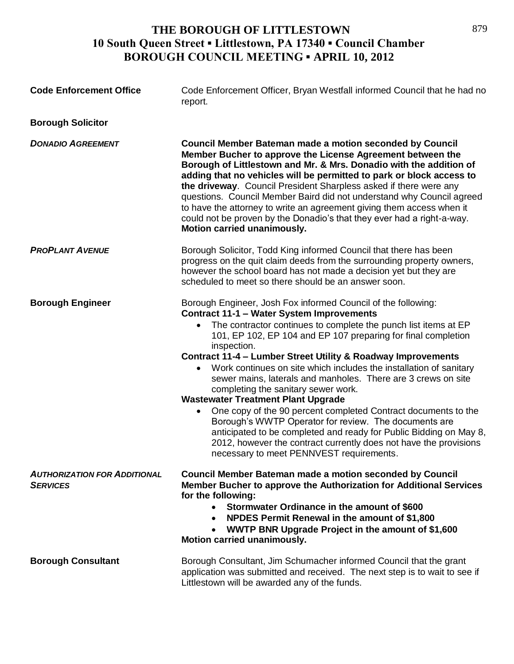| <b>Code Enforcement Office</b>                         | Code Enforcement Officer, Bryan Westfall informed Council that he had no<br>report.                                                                                                                                                                                                                                                                                                                                                                                                                                                                                                                                                                                                                                                                                                                                                                                                            |
|--------------------------------------------------------|------------------------------------------------------------------------------------------------------------------------------------------------------------------------------------------------------------------------------------------------------------------------------------------------------------------------------------------------------------------------------------------------------------------------------------------------------------------------------------------------------------------------------------------------------------------------------------------------------------------------------------------------------------------------------------------------------------------------------------------------------------------------------------------------------------------------------------------------------------------------------------------------|
| <b>Borough Solicitor</b>                               |                                                                                                                                                                                                                                                                                                                                                                                                                                                                                                                                                                                                                                                                                                                                                                                                                                                                                                |
| <b>DONADIO AGREEMENT</b>                               | Council Member Bateman made a motion seconded by Council<br>Member Bucher to approve the License Agreement between the<br>Borough of Littlestown and Mr. & Mrs. Donadio with the addition of<br>adding that no vehicles will be permitted to park or block access to<br>the driveway. Council President Sharpless asked if there were any<br>questions. Council Member Baird did not understand why Council agreed<br>to have the attorney to write an agreement giving them access when it<br>could not be proven by the Donadio's that they ever had a right-a-way.<br>Motion carried unanimously.                                                                                                                                                                                                                                                                                           |
| <b>PROPLANT AVENUE</b>                                 | Borough Solicitor, Todd King informed Council that there has been<br>progress on the quit claim deeds from the surrounding property owners,<br>however the school board has not made a decision yet but they are<br>scheduled to meet so there should be an answer soon.                                                                                                                                                                                                                                                                                                                                                                                                                                                                                                                                                                                                                       |
| <b>Borough Engineer</b>                                | Borough Engineer, Josh Fox informed Council of the following:<br><b>Contract 11-1 - Water System Improvements</b><br>The contractor continues to complete the punch list items at EP<br>101, EP 102, EP 104 and EP 107 preparing for final completion<br>inspection.<br>Contract 11-4 - Lumber Street Utility & Roadway Improvements<br>Work continues on site which includes the installation of sanitary<br>sewer mains, laterals and manholes. There are 3 crews on site<br>completing the sanitary sewer work.<br><b>Wastewater Treatment Plant Upgrade</b><br>One copy of the 90 percent completed Contract documents to the<br>$\bullet$<br>Borough's WWTP Operator for review. The documents are<br>anticipated to be completed and ready for Public Bidding on May 8,<br>2012, however the contract currently does not have the provisions<br>necessary to meet PENNVEST requirements. |
| <b>AUTHORIZATION FOR ADDITIONAL</b><br><b>SERVICES</b> | <b>Council Member Bateman made a motion seconded by Council</b><br>Member Bucher to approve the Authorization for Additional Services<br>for the following:<br>Stormwater Ordinance in the amount of \$600<br>$\bullet$<br>NPDES Permit Renewal in the amount of \$1,800<br>WWTP BNR Upgrade Project in the amount of \$1,600<br>Motion carried unanimously.                                                                                                                                                                                                                                                                                                                                                                                                                                                                                                                                   |
| <b>Borough Consultant</b>                              | Borough Consultant, Jim Schumacher informed Council that the grant<br>application was submitted and received. The next step is to wait to see if<br>Littlestown will be awarded any of the funds.                                                                                                                                                                                                                                                                                                                                                                                                                                                                                                                                                                                                                                                                                              |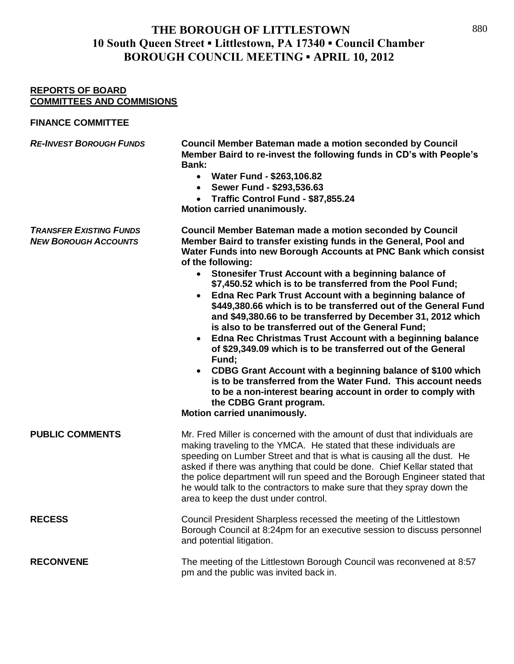### **REPORTS OF BOARD COMMITTEES AND COMMISIONS**

### **FINANCE COMMITTEE**

| <b>RE-INVEST BOROUGH FUNDS</b>                                | Council Member Bateman made a motion seconded by Council<br>Member Baird to re-invest the following funds in CD's with People's<br>Bank:<br>• Water Fund - \$263,106.82<br>• Sewer Fund - \$293,536.63<br>Traffic Control Fund - \$87,855.24<br>Motion carried unanimously.                                                                                                                                                                                                                                                                                                                                                                                                                                                                                                                                                                                                                                                                                                                                                    |
|---------------------------------------------------------------|--------------------------------------------------------------------------------------------------------------------------------------------------------------------------------------------------------------------------------------------------------------------------------------------------------------------------------------------------------------------------------------------------------------------------------------------------------------------------------------------------------------------------------------------------------------------------------------------------------------------------------------------------------------------------------------------------------------------------------------------------------------------------------------------------------------------------------------------------------------------------------------------------------------------------------------------------------------------------------------------------------------------------------|
| <b>TRANSFER EXISTING FUNDS</b><br><b>NEW BOROUGH ACCOUNTS</b> | <b>Council Member Bateman made a motion seconded by Council</b><br>Member Baird to transfer existing funds in the General, Pool and<br>Water Funds into new Borough Accounts at PNC Bank which consist<br>of the following:<br>• Stonesifer Trust Account with a beginning balance of<br>\$7,450.52 which is to be transferred from the Pool Fund;<br>Edna Rec Park Trust Account with a beginning balance of<br>$\bullet$<br>\$449,380.66 which is to be transferred out of the General Fund<br>and \$49,380.66 to be transferred by December 31, 2012 which<br>is also to be transferred out of the General Fund;<br>Edna Rec Christmas Trust Account with a beginning balance<br>of \$29,349.09 which is to be transferred out of the General<br>Fund;<br>CDBG Grant Account with a beginning balance of \$100 which<br>$\bullet$<br>is to be transferred from the Water Fund. This account needs<br>to be a non-interest bearing account in order to comply with<br>the CDBG Grant program.<br>Motion carried unanimously. |
| <b>PUBLIC COMMENTS</b>                                        | Mr. Fred Miller is concerned with the amount of dust that individuals are<br>making traveling to the YMCA. He stated that these individuals are<br>speeding on Lumber Street and that is what is causing all the dust. He<br>asked if there was anything that could be done. Chief Kellar stated that<br>the police department will run speed and the Borough Engineer stated that<br>he would talk to the contractors to make sure that they spray down the<br>area to keep the dust under control.                                                                                                                                                                                                                                                                                                                                                                                                                                                                                                                           |
| <b>RECESS</b>                                                 | Council President Sharpless recessed the meeting of the Littlestown<br>Borough Council at 8:24pm for an executive session to discuss personnel<br>and potential litigation.                                                                                                                                                                                                                                                                                                                                                                                                                                                                                                                                                                                                                                                                                                                                                                                                                                                    |
| <b>RECONVENE</b>                                              | The meeting of the Littlestown Borough Council was reconvened at 8:57<br>pm and the public was invited back in.                                                                                                                                                                                                                                                                                                                                                                                                                                                                                                                                                                                                                                                                                                                                                                                                                                                                                                                |